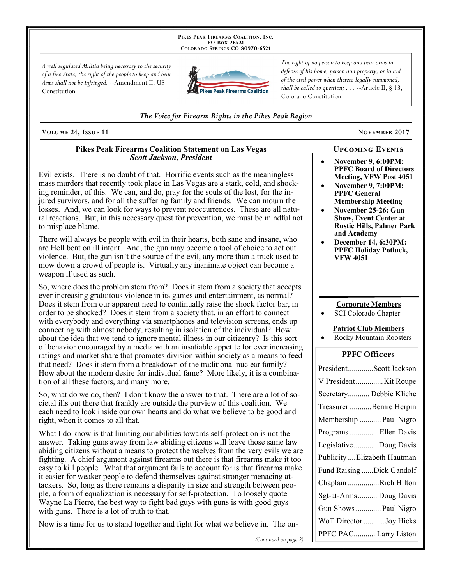PIKES PEAK FIREARMS COALITION, INC. PO Box 76521 COLORADO SPRINGS CO 80970-6521

A well regulated Militia being necessary to the security of a free State, the right of the people to keep and bear Arms shall not be infringed. --Amendment II, US Constitution



The right of no person to keep and bear arms in defense of his home, person and property, or in aid of the civil power when thereto legally summoned, shall be called to question;  $\ldots$  --Article II, § 13, Colorado Constitution

The Voice for Firearm Rights in the Pikes Peak Region

VOLUME 24, ISSUE 11

### **Pikes Peak Firearms Coalition Statement on Las Vegas Scott Jackson, President**

Evil exists. There is no doubt of that. Horrific events such as the meaningless mass murders that recently took place in Las Vegas are a stark, cold, and shocking reminder, of this. We can, and do, pray for the souls of the lost, for the injured survivors, and for all the suffering family and friends. We can mourn the losses. And, we can look for ways to prevent reoccurrences. These are all natural reactions. But, in this necessary quest for prevention, we must be mindful not to misplace blame.

There will always be people with evil in their hearts, both sane and insane, who are Hell bent on ill intent. And, the gun may become a tool of choice to act out violence. But, the gun isn't the source of the evil, any more than a truck used to mow down a crowd of people is. Virtually any inanimate object can become a weapon if used as such.

So, where does the problem stem from? Does it stem from a society that accepts ever increasing gratuitous violence in its games and entertainment, as normal? Does it stem from our apparent need to continually raise the shock factor bar, in order to be shocked? Does it stem from a society that, in an effort to connect with everybody and everything via smartphones and television screens, ends up connecting with almost nobody, resulting in isolation of the individual? How about the idea that we tend to ignore mental illness in our citizenry? Is this sort of behavior encouraged by a media with an insatiable appetite for ever increasing ratings and market share that promotes division within society as a means to feed that need? Does it stem from a breakdown of the traditional nuclear family? How about the modern desire for individual fame? More likely, it is a combination of all these factors, and many more.

So, what do we do, then? I don't know the answer to that. There are a lot of societal ills out there that frankly are outside the purview of this coalition. We each need to look inside our own hearts and do what we believe to be good and right, when it comes to all that.

What I do know is that limiting our abilities towards self-protection is not the answer. Taking guns away from law abiding citizens will leave those same law abiding citizens without a means to protect themselves from the very evils we are fighting. A chief argument against firearms out there is that firearms make it too easy to kill people. What that argument fails to account for is that firearms make it easier for weaker people to defend themselves against stronger menacing attackers. So, long as there remains a disparity in size and strength between people, a form of equalization is necessary for self-protection. To loosely quote Wayne La Pierre, the best way to fight bad guys with guns is with good guys with guns. There is a lot of truth to that.

Now is a time for us to stand together and fight for what we believe in. The on-

NOVEMBER 2017

### **UPCOMING EVENTS**

- **November 9, 6:00PM: PPFC Board of Directors** Meeting, VFW Post 4051
- **November 9.7:00PM: PPFC General Membership Meeting**
- November 25-26: Gun **Show, Event Center at Rustic Hills, Palmer Park** and Academy
- December 14, 6:30PM: **PPFC Holiday Potluck, VFW 4051**

### **Corporate Members**

SCI Colorado Chapter

### **Patriot Club Members**

**Rocky Mountain Roosters** 

### **PPFC Officers**

| PresidentScott Jackson       |
|------------------------------|
| V PresidentKit Roupe         |
| Secretary Debbie Kliche      |
| Treasurer Bernie Herpin      |
| Membership  Paul Nigro       |
| Programs Ellen Davis         |
| Legislative  Doug Davis      |
| Publicity  Elizabeth Hautman |
| Fund Raising  Dick Gandolf   |
| Chaplain Rich Hilton         |
| Sgt-at-Arms Doug Davis       |
| Gun Shows  Paul Nigro        |
| WoT Director Joy Hicks       |
| PPFC PAC Larry Liston        |

(Continued on page 2)